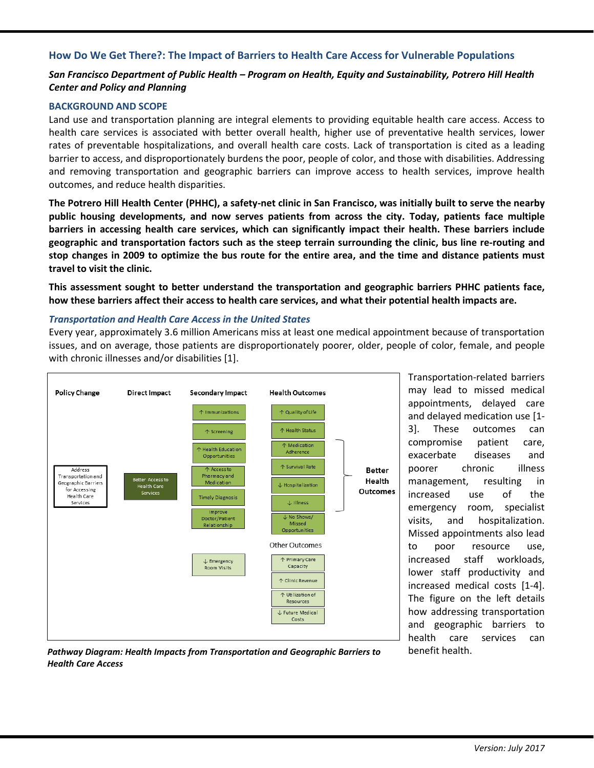# **How Do We Get There?: The Impact of Barriers to Health Care Access for Vulnerable Populations**

# *San Francisco Department of Public Health – Program on Health, Equity and Sustainability, Potrero Hill Health Center and Policy and Planning*

### **BACKGROUND AND SCOPE**

Land use and transportation planning are integral elements to providing equitable health care access. Access to health care services is associated with better overall health, higher use of preventative health services, lower rates of preventable hospitalizations, and overall health care costs. Lack of transportation is cited as a leading barrier to access, and disproportionately burdens the poor, people of color, and those with disabilities. Addressing and removing transportation and geographic barriers can improve access to health services, improve health outcomes, and reduce health disparities.

**The Potrero Hill Health Center (PHHC), a safety-net clinic in San Francisco, was initially built to serve the nearby public housing developments, and now serves patients from across the city. Today, patients face multiple barriers in accessing health care services, which can significantly impact their health. These barriers include geographic and transportation factors such as the steep terrain surrounding the clinic, bus line re-routing and stop changes in 2009 to optimize the bus route for the entire area, and the time and distance patients must travel to visit the clinic.** 

**This assessment sought to better understand the transportation and geographic barriers PHHC patients face, how these barriers affect their access to health care services, and what their potential health impacts are.** 

### *Transportation and Health Care Access in the United States*

Every year, approximately 3.6 million Americans miss at least one medical appointment because of transportation issues, and on average, those patients are disproportionately poorer, older, people of color, female, and people with chronic illnesses and/or disabilities [1].



Transportation-related barriers may lead to missed medical appointments, delayed care and delayed medication use [1- 3]. These outcomes can compromise patient care, exacerbate diseases and poorer chronic illness management, resulting in increased use of the emergency room, specialist visits, and hospitalization. Missed appointments also lead to poor resource use, increased staff workloads, lower staff productivity and increased medical costs [1-4]. The figure on the left details how addressing transportation and geographic barriers to health care services can

*Pathway Diagram: Health Impacts from Transportation and Geographic Barriers to* benefit health. *Health Care Access*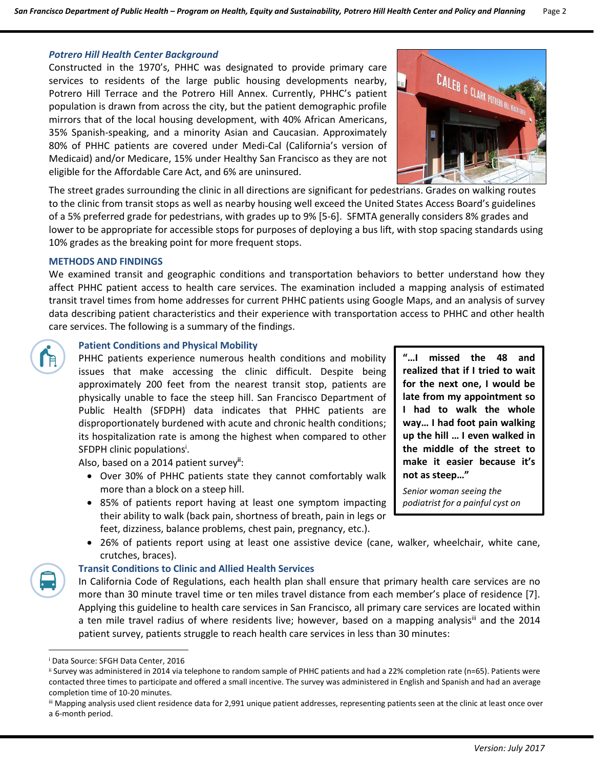#### *Potrero Hill Health Center Background*

Constructed in the 1970's, PHHC was designated to provide primary care services to residents of the large public housing developments nearby, Potrero Hill Terrace and the Potrero Hill Annex. Currently, PHHC's patient population is drawn from across the city, but the patient demographic profile mirrors that of the local housing development, with 40% African Americans, 35% Spanish-speaking, and a minority Asian and Caucasian. Approximately 80% of PHHC patients are covered under Medi-Cal (California's version of Medicaid) and/or Medicare, 15% under Healthy San Francisco as they are not eligible for the Affordable Care Act, and 6% are uninsured.



The street grades surrounding the clinic in all directions are significant for pedestrians. Grades on walking routes to the clinic from transit stops as well as nearby housing well exceed the United States Access Board's guidelines of a 5% preferred grade for pedestrians, with grades up to 9% [5-6]. SFMTA generally considers 8% grades and lower to be appropriate for accessible stops for purposes of deploying a bus lift, with stop spacing standards using 10% grades as the breaking point for more frequent stops.

### **METHODS AND FINDINGS**

We examined transit and geographic conditions and transportation behaviors to better understand how they affect PHHC patient access to health care services. The examination included a mapping analysis of estimated transit travel times from home addresses for current PHHC patients using Google Maps, and an analysis of survey data describing patient characteristics and their experience with transportation access to PHHC and other health care services. The following is a summary of the findings.

### **Patient Conditions and Physical Mobility**

PHHC patients experience numerous health conditions and mobility issues that make accessing the clinic difficult. Despite being approximately 200 feet from the nearest transit stop, patients are physically unable to face the steep hill. San Francisco Department of Public Health (SFDPH) data indicates that PHHC patients are disproportionately burdened with acute and chronic health conditions; its hospitalization rate is among the highest when compared to other SFDPH clinic populations<sup>i</sup>.

Also, based on a 2014 patient survey**ii**:

- Over 30% of PHHC patients state they cannot comfortably walk more than a block on a steep hill.
- 85% of patients report having at least one symptom impacting their ability to walk (back pain, shortness of breath, pain in legs or feet, dizziness, balance problems, chest pain, pregnancy, etc.).
- 26% of patients report using at least one assistive device (cane, walker, wheelchair, white cane, crutches, braces).

#### **Transit Conditions to Clinic and Allied Health Services**

In California Code of Regulations, each health plan shall ensure that primary health care services are no more than 30 minute travel time or ten miles travel distance from each member's place of residence [7]. Applying this guideline to health care services in San Francisco, all primary care services are located within a ten mile travel radius of where residents live; however, based on a mapping analysis<sup>iii</sup> and the 2014 patient survey, patients struggle to reach health care services in less than 30 minutes:

**"…I missed the 48 and realized that if I tried to wait for the next one, I would be late from my appointment so I had to walk the whole way… I had foot pain walking up the hill … I even walked in the middle of the street to make it easier because it's not as steep…"** 

*Senior woman seeing the podiatrist for a painful cyst on* 

*her foot*

i Data Source: SFGH Data Center, 2016

ii Survey was administered in 2014 via telephone to random sample of PHHC patients and had a 22% completion rate (n=65). Patients were contacted three times to participate and offered a small incentive. The survey was administered in English and Spanish and had an average completion time of 10-20 minutes.

iii Mapping analysis used client residence data for 2,991 unique patient addresses, representing patients seen at the clinic at least once over a 6-month period.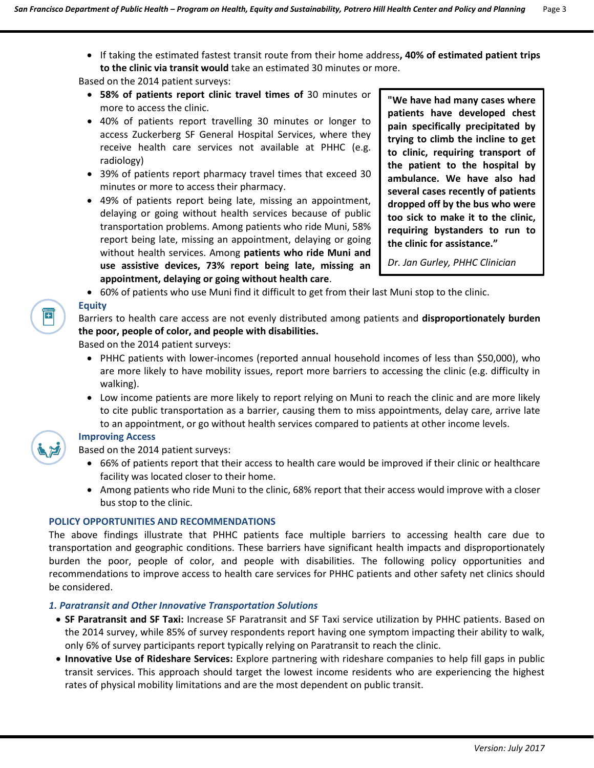If taking the estimated fastest transit route from their home address**, 40% of estimated patient trips to the clinic via transit would** take an estimated 30 minutes or more.

Based on the 2014 patient surveys:

- **58% of patients report clinic travel times of** 30 minutes or more to access the clinic.
- 40% of patients report travelling 30 minutes or longer to access Zuckerberg SF General Hospital Services, where they receive health care services not available at PHHC (e.g. radiology)
- 39% of patients report pharmacy travel times that exceed 30 minutes or more to access their pharmacy.
- 49% of patients report being late, missing an appointment, delaying or going without health services because of public transportation problems. Among patients who ride Muni, 58% report being late, missing an appointment, delaying or going without health services. Among **patients who ride Muni and use assistive devices, 73% report being late, missing an appointment, delaying or going without health care**.

**"We have had many cases where patients have developed chest pain specifically precipitated by trying to climb the incline to get to clinic, requiring transport of the patient to the hospital by ambulance. We have also had several cases recently of patients dropped off by the bus who were too sick to make it to the clinic, requiring bystanders to run to the clinic for assistance."** 

*Dr. Jan Gurley, PHHC Clinician*

60% of patients who use Muni find it difficult to get from their last Muni stop to the clinic.

**Equity** Barriers to health care access are not evenly distributed among patients and **disproportionately burden** 

**the poor, people of color, and people with disabilities.** Based on the 2014 patient surveys:

- PHHC patients with lower-incomes (reported annual household incomes of less than \$50,000), who are more likely to have mobility issues, report more barriers to accessing the clinic (e.g. difficulty in walking).
- Low income patients are more likely to report relying on Muni to reach the clinic and are more likely to cite public transportation as a barrier, causing them to miss appointments, delay care, arrive late to an appointment, or go without health services compared to patients at other income levels.



 $\overline{E}$ 

# **Improving Access**

Based on the 2014 patient surveys:

- 66% of patients report that their access to health care would be improved if their clinic or healthcare facility was located closer to their home.
- Among patients who ride Muni to the clinic, 68% report that their access would improve with a closer bus stop to the clinic.

### **POLICY OPPORTUNITIES AND RECOMMENDATIONS**

The above findings illustrate that PHHC patients face multiple barriers to accessing health care due to transportation and geographic conditions. These barriers have significant health impacts and disproportionately burden the poor, people of color, and people with disabilities. The following policy opportunities and recommendations to improve access to health care services for PHHC patients and other safety net clinics should be considered.

# *1. Paratransit and Other Innovative Transportation Solutions*

- **SF Paratransit and SF Taxi:** Increase SF Paratransit and SF Taxi service utilization by PHHC patients. Based on the 2014 survey, while 85% of survey respondents report having one symptom impacting their ability to walk, only 6% of survey participants report typically relying on Paratransit to reach the clinic.
- **Innovative Use of Rideshare Services:** Explore partnering with rideshare companies to help fill gaps in public transit services. This approach should target the lowest income residents who are experiencing the highest rates of physical mobility limitations and are the most dependent on public transit.